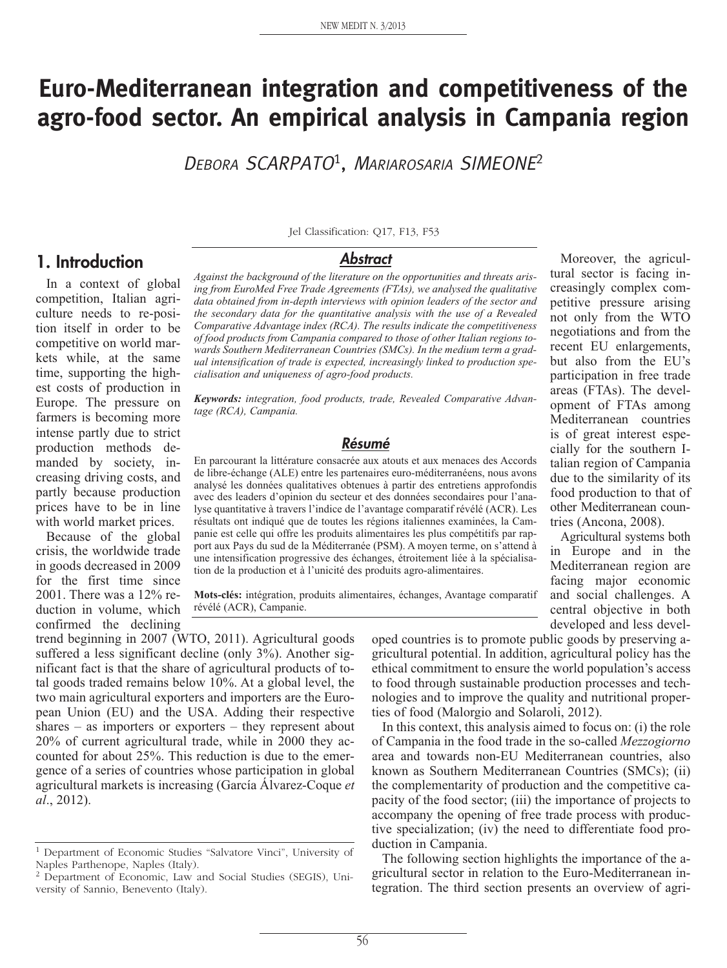# **Euro-Mediterranean integration and competitiveness of the agro-food sector. An empirical analysis in Campania region**

<sup>D</sup>EBORA SCARPATO1, <sup>M</sup>ARIAROSARIA SIMEONE<sup>2</sup>

# **1. Introduction**

In a context of global competition, Italian agriculture needs to re-position itself in order to be competitive on world markets while, at the same time, supporting the highest costs of production in Europe. The pressure on farmers is becoming more intense partly due to strict production methods demanded by society, increasing driving costs, and partly because production prices have to be in line with world market prices.

Because of the global crisis, the worldwide trade in goods decreased in 2009 for the first time since 2001. There was a 12% reduction in volume, which confirmed the declining

Jel Classification: Q17, F13, F53

#### **Abstract**

*Against the background of the literature on the opportunities and threats arising from EuroMed Free Trade Agreements (FTAs), we analysed the qualitative data obtained from in-depth interviews with opinion leaders of the sector and the secondary data for the quantitative analysis with the use of a Revealed Comparative Advantage index (RCA). The results indicate the competitiveness of food products from Campania compared to those of other Italian regions towards Southern Mediterranean Countries (SMCs). In the medium term a gradual intensification of trade is expected, increasingly linked to production specialisation and uniqueness of agro-food products.* 

*Keywords: integration, food products, trade, Revealed Comparative Advantage (RCA), Campania.*

#### **Résumé**

En parcourant la littérature consacrée aux atouts et aux menaces des Accords de libre-échange (ALE) entre les partenaires euro-méditerranéens, nous avons analysé les données qualitatives obtenues à partir des entretiens approfondis avec des leaders d'opinion du secteur et des données secondaires pour l'analyse quantitative à travers l'indice de l'avantage comparatif révélé (ACR). Les résultats ont indiqué que de toutes les régions italiennes examinées, la Campanie est celle qui offre les produits alimentaires les plus compétitifs par rapport aux Pays du sud de la Méditerranée (PSM). A moyen terme, on s'attend à une intensification progressive des échanges, étroitement liée à la spécialisation de la production et à l'unicité des produits agro-alimentaires.

**Mots-clés:** intégration, produits alimentaires, échanges, Avantage comparatif révélé (ACR), Campanie.

trend beginning in 2007 (WTO, 2011). Agricultural goods suffered a less significant decline (only 3%). Another significant fact is that the share of agricultural products of total goods traded remains below 10%. At a global level, the two main agricultural exporters and importers are the European Union (EU) and the USA. Adding their respective shares – as importers or exporters – they represent about 20% of current agricultural trade, while in 2000 they accounted for about 25%. This reduction is due to the emergence of a series of countries whose participation in global agricultural markets is increasing (García Álvarez-Coque *et al*., 2012).

oped countries is to promote public goods by preserving agricultural potential. In addition, agricultural policy has the ethical commitment to ensure the world population's access to food through sustainable production processes and technologies and to improve the quality and nutritional properties of food (Malorgio and Solaroli, 2012).

In this context, this analysis aimed to focus on: (i) the role of Campania in the food trade in the so-called *Mezzogiorno* area and towards non-EU Mediterranean countries, also known as Southern Mediterranean Countries (SMCs); (ii) the complementarity of production and the competitive capacity of the food sector; (iii) the importance of projects to accompany the opening of free trade process with productive specialization; (iv) the need to differentiate food production in Campania.

The following section highlights the importance of the agricultural sector in relation to the Euro-Mediterranean integration. The third section presents an overview of agri-

Moreover, the agricultural sector is facing increasingly complex competitive pressure arising not only from the WTO negotiations and from the recent EU enlargements, but also from the EU's participation in free trade areas (FTAs). The development of FTAs among Mediterranean countries is of great interest especially for the southern Italian region of Campania due to the similarity of its food production to that of other Mediterranean countries (Ancona, 2008).

Agricultural systems both in Europe and in the Mediterranean region are facing major economic and social challenges. A central objective in both developed and less devel-

<sup>1</sup> Department of Economic Studies "Salvatore Vinci", University of Naples Parthenope, Naples (Italy).

<sup>2</sup> Department of Economic, Law and Social Studies (SEGIS), University of Sannio, Benevento (Italy).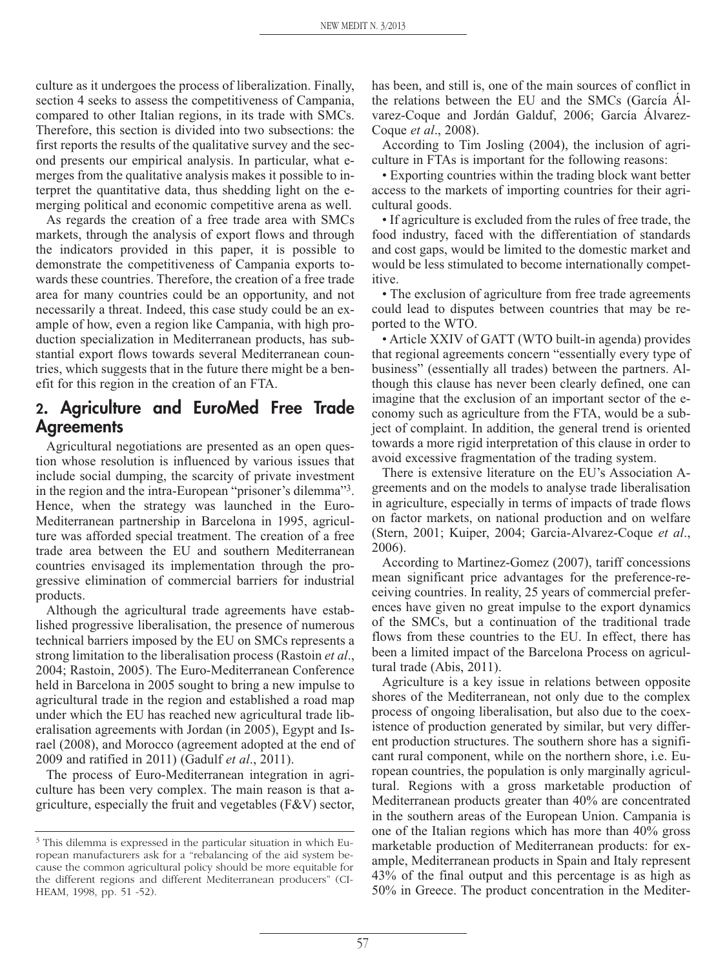culture as it undergoes the process of liberalization. Finally, section 4 seeks to assess the competitiveness of Campania, compared to other Italian regions, in its trade with SMCs. Therefore, this section is divided into two subsections: the first reports the results of the qualitative survey and the second presents our empirical analysis. In particular, what emerges from the qualitative analysis makes it possible to interpret the quantitative data, thus shedding light on the emerging political and economic competitive arena as well.

As regards the creation of a free trade area with SMCs markets, through the analysis of export flows and through the indicators provided in this paper, it is possible to demonstrate the competitiveness of Campania exports towards these countries. Therefore, the creation of a free trade area for many countries could be an opportunity, and not necessarily a threat. Indeed, this case study could be an example of how, even a region like Campania, with high production specialization in Mediterranean products, has substantial export flows towards several Mediterranean countries, which suggests that in the future there might be a benefit for this region in the creation of an FTA.

# **2. Agriculture and EuroMed Free Trade Agreements**

Agricultural negotiations are presented as an open question whose resolution is influenced by various issues that include social dumping, the scarcity of private investment in the region and the intra-European "prisoner's dilemma"3. Hence, when the strategy was launched in the Euro-Mediterranean partnership in Barcelona in 1995, agriculture was afforded special treatment. The creation of a free trade area between the EU and southern Mediterranean countries envisaged its implementation through the progressive elimination of commercial barriers for industrial products.

Although the agricultural trade agreements have established progressive liberalisation, the presence of numerous technical barriers imposed by the EU on SMCs represents a strong limitation to the liberalisation process (Rastoin *et al*., 2004; Rastoin, 2005). The Euro-Mediterranean Conference held in Barcelona in 2005 sought to bring a new impulse to agricultural trade in the region and established a road map under which the EU has reached new agricultural trade liberalisation agreements with Jordan (in 2005), Egypt and Israel (2008), and Morocco (agreement adopted at the end of 2009 and ratified in 2011) (Gadulf *et al*., 2011).

The process of Euro-Mediterranean integration in agriculture has been very complex. The main reason is that agriculture, especially the fruit and vegetables (F&V) sector, has been, and still is, one of the main sources of conflict in the relations between the EU and the SMCs (García Álvarez-Coque and Jordán Galduf, 2006; García Álvarez-Coque *et al*., 2008).

According to Tim Josling (2004), the inclusion of agriculture in FTAs is important for the following reasons:

• Exporting countries within the trading block want better access to the markets of importing countries for their agricultural goods.

• If agriculture is excluded from the rules of free trade, the food industry, faced with the differentiation of standards and cost gaps, would be limited to the domestic market and would be less stimulated to become internationally competitive.

• The exclusion of agriculture from free trade agreements could lead to disputes between countries that may be reported to the WTO.

• Article XXIV of GATT (WTO built-in agenda) provides that regional agreements concern "essentially every type of business" (essentially all trades) between the partners. Although this clause has never been clearly defined, one can imagine that the exclusion of an important sector of the economy such as agriculture from the FTA, would be a subject of complaint. In addition, the general trend is oriented towards a more rigid interpretation of this clause in order to avoid excessive fragmentation of the trading system.

There is extensive literature on the EU's Association Agreements and on the models to analyse trade liberalisation in agriculture, especially in terms of impacts of trade flows on factor markets, on national production and on welfare (Stern, 2001; Kuiper, 2004; Garcia-Alvarez-Coque *et al*., 2006).

According to Martinez-Gomez (2007), tariff concessions mean significant price advantages for the preference-receiving countries. In reality, 25 years of commercial preferences have given no great impulse to the export dynamics of the SMCs, but a continuation of the traditional trade flows from these countries to the EU. In effect, there has been a limited impact of the Barcelona Process on agricultural trade (Abis, 2011).

Agriculture is a key issue in relations between opposite shores of the Mediterranean, not only due to the complex process of ongoing liberalisation, but also due to the coexistence of production generated by similar, but very different production structures. The southern shore has a significant rural component, while on the northern shore, i.e. European countries, the population is only marginally agricultural. Regions with a gross marketable production of Mediterranean products greater than 40% are concentrated in the southern areas of the European Union. Campania is one of the Italian regions which has more than 40% gross marketable production of Mediterranean products: for example, Mediterranean products in Spain and Italy represent 43% of the final output and this percentage is as high as 50% in Greece. The product concentration in the Mediter-

<sup>3</sup> This dilemma is expressed in the particular situation in which European manufacturers ask for a "rebalancing of the aid system because the common agricultural policy should be more equitable for the different regions and different Mediterranean producers" (CI-HEAM, 1998, pp. 51 -52).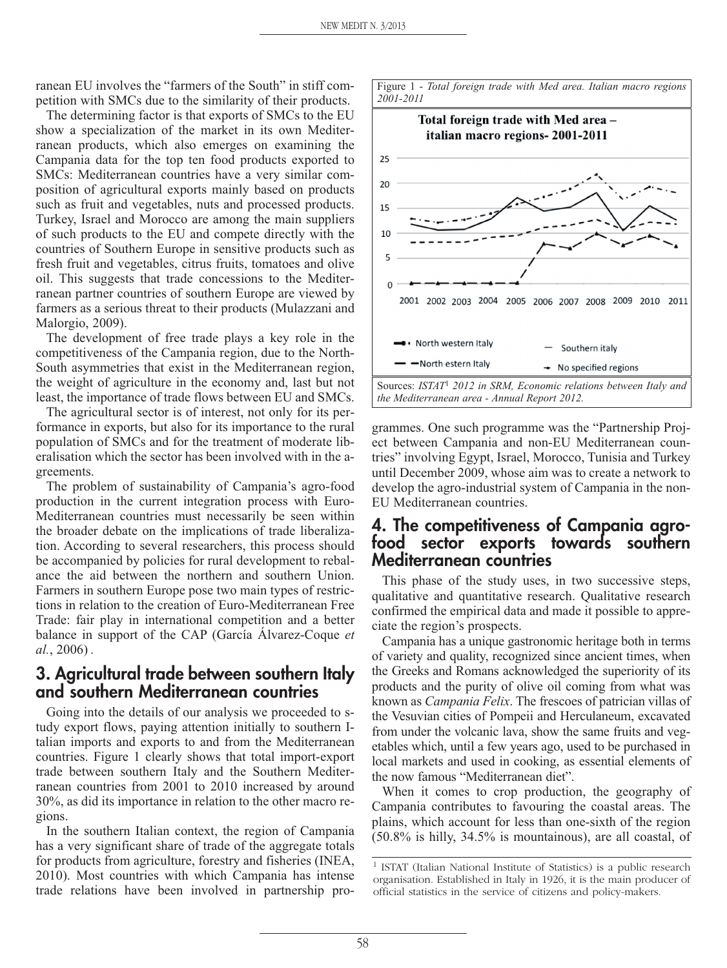ranean EU involves the "farmers of the South" in stiff competition with SMCs due to the similarity of their products.

The determining factor is that exports of SMCs to the EU show a specialization of the market in its own Mediterranean products, which also emerges on examining the Campania data for the top ten food products exported to SMCs: Mediterranean countries have a very similar composition of agricultural exports mainly based on products such as fruit and vegetables, nuts and processed products. Turkey, Israel and Morocco are among the main suppliers of such products to the EU and compete directly with the countries of Southern Europe in sensitive products such as fresh fruit and vegetables, citrus fruits, tomatoes and olive oil. This suggests that trade concessions to the Mediterranean partner countries of southern Europe are viewed by farmers as a serious threat to their products (Mulazzani and Malorgio, 2009).

The development of free trade plays a key role in the competitiveness of the Campania region, due to the North-South asymmetries that exist in the Mediterranean region, the weight of agriculture in the economy and, last but not least, the importance of trade flows between EU and SMCs.

The agricultural sector is of interest, not only for its performance in exports, but also for its importance to the rural population of SMCs and for the treatment of moderate liberalisation which the sector has been involved with in the agreements.

The problem of sustainability of Campania's agro-food production in the current integration process with Euro-Mediterranean countries must necessarily be seen within the broader debate on the implications of trade liberalization. According to several researchers, this process should be accompanied by policies for rural development to rebalance the aid between the northern and southern Union. Farmers in southern Europe pose two main types of restrictions in relation to the creation of Euro-Mediterranean Free Trade: fair play in international competition and a better balance in support of the CAP (García Álvarez-Coque *et al.*, 2006) .

# **3. Agricultural trade between southern Italy and southern Mediterranean countries**

Going into the details of our analysis we proceeded to study export flows, paying attention initially to southern Italian imports and exports to and from the Mediterranean countries. Figure 1 clearly shows that total import-export trade between southern Italy and the Southern Mediterranean countries from 2001 to 2010 increased by around 30%, as did its importance in relation to the other macro regions.

In the southern Italian context, the region of Campania has a very significant share of trade of the aggregate totals for products from agriculture, forestry and fisheries (INEA, 2010). Most countries with which Campania has intense trade relations have been involved in partnership pro-



grammes. One such programme was the "Partnership Project between Campania and non-EU Mediterranean countries" involving Egypt, Israel, Morocco, Tunisia and Turkey until December 2009, whose aim was to create a network to develop the agro-industrial system of Campania in the non-EU Mediterranean countries.

# **4. The competitiveness of Campania agrofood sector exports towards southern Mediterranean countries**

This phase of the study uses, in two successive steps, qualitative and quantitative research. Qualitative research confirmed the empirical data and made it possible to appreciate the region's prospects.

Campania has a unique gastronomic heritage both in terms of variety and quality, recognized since ancient times, when the Greeks and Romans acknowledged the superiority of its products and the purity of olive oil coming from what was known as *Campania Felix*. The frescoes of patrician villas of the Vesuvian cities of Pompeii and Herculaneum, excavated from under the volcanic lava, show the same fruits and vegetables which, until a few years ago, used to be purchased in local markets and used in cooking, as essential elements of the now famous "Mediterranean diet".

When it comes to crop production, the geography of Campania contributes to favouring the coastal areas. The plains, which account for less than one-sixth of the region (50.8% is hilly, 34.5% is mountainous), are all coastal, of

<sup>1</sup> ISTAT (Italian National Institute of Statistics) is a public research organisation. Established in Italy in 1926, it is the main producer of official statistics in the service of citizens and policy-makers.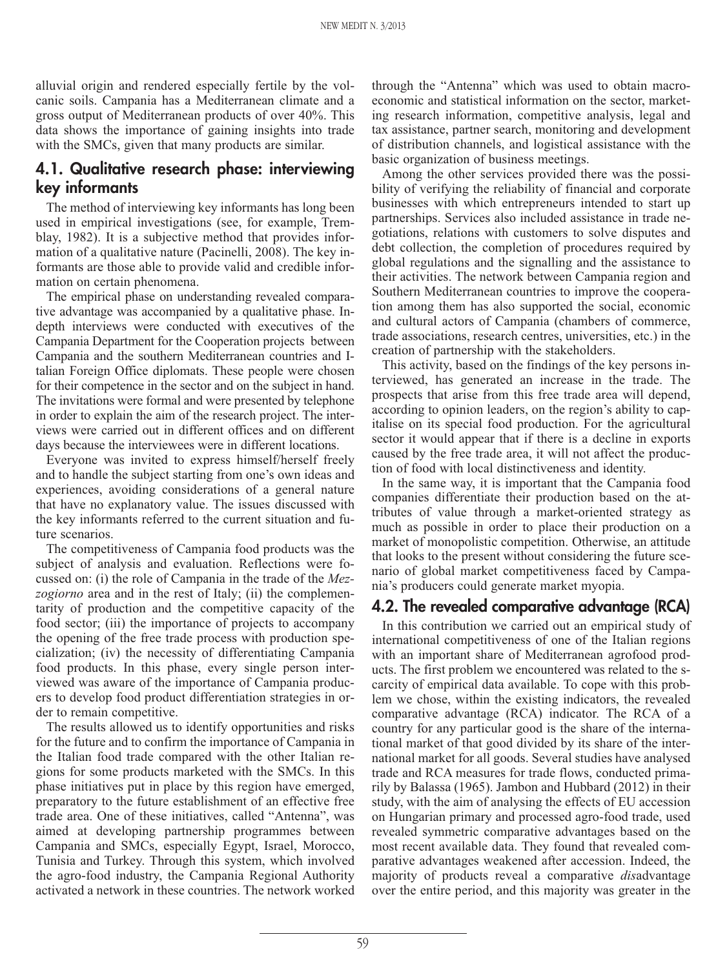alluvial origin and rendered especially fertile by the volcanic soils. Campania has a Mediterranean climate and a gross output of Mediterranean products of over 40%. This data shows the importance of gaining insights into trade with the SMCs, given that many products are similar.

# **4.1. Qualitative research phase: interviewing key informants**

The method of interviewing key informants has long been used in empirical investigations (see, for example, Tremblay, 1982). It is a subjective method that provides information of a qualitative nature (Pacinelli, 2008). The key informants are those able to provide valid and credible information on certain phenomena.

The empirical phase on understanding revealed comparative advantage was accompanied by a qualitative phase. Indepth interviews were conducted with executives of the Campania Department for the Cooperation projects between Campania and the southern Mediterranean countries and Italian Foreign Office diplomats. These people were chosen for their competence in the sector and on the subject in hand. The invitations were formal and were presented by telephone in order to explain the aim of the research project. The interviews were carried out in different offices and on different days because the interviewees were in different locations.

Everyone was invited to express himself/herself freely and to handle the subject starting from one's own ideas and experiences, avoiding considerations of a general nature that have no explanatory value. The issues discussed with the key informants referred to the current situation and future scenarios.

The competitiveness of Campania food products was the subject of analysis and evaluation. Reflections were focussed on: (i) the role of Campania in the trade of the *Mezzogiorno* area and in the rest of Italy; (ii) the complementarity of production and the competitive capacity of the food sector; (iii) the importance of projects to accompany the opening of the free trade process with production specialization; (iv) the necessity of differentiating Campania food products. In this phase, every single person interviewed was aware of the importance of Campania producers to develop food product differentiation strategies in order to remain competitive.

The results allowed us to identify opportunities and risks for the future and to confirm the importance of Campania in the Italian food trade compared with the other Italian regions for some products marketed with the SMCs. In this phase initiatives put in place by this region have emerged, preparatory to the future establishment of an effective free trade area. One of these initiatives, called "Antenna", was aimed at developing partnership programmes between Campania and SMCs, especially Egypt, Israel, Morocco, Tunisia and Turkey. Through this system, which involved the agro-food industry, the Campania Regional Authority activated a network in these countries. The network worked through the "Antenna" which was used to obtain macroeconomic and statistical information on the sector, marketing research information, competitive analysis, legal and tax assistance, partner search, monitoring and development of distribution channels, and logistical assistance with the basic organization of business meetings.

Among the other services provided there was the possibility of verifying the reliability of financial and corporate businesses with which entrepreneurs intended to start up partnerships. Services also included assistance in trade negotiations, relations with customers to solve disputes and debt collection, the completion of procedures required by global regulations and the signalling and the assistance to their activities. The network between Campania region and Southern Mediterranean countries to improve the cooperation among them has also supported the social, economic and cultural actors of Campania (chambers of commerce, trade associations, research centres, universities, etc.) in the creation of partnership with the stakeholders.

This activity, based on the findings of the key persons interviewed, has generated an increase in the trade. The prospects that arise from this free trade area will depend, according to opinion leaders, on the region's ability to capitalise on its special food production. For the agricultural sector it would appear that if there is a decline in exports caused by the free trade area, it will not affect the production of food with local distinctiveness and identity.

In the same way, it is important that the Campania food companies differentiate their production based on the attributes of value through a market-oriented strategy as much as possible in order to place their production on a market of monopolistic competition. Otherwise, an attitude that looks to the present without considering the future scenario of global market competitiveness faced by Campania's producers could generate market myopia.

#### **4.2. The revealed comparative advantage (RCA)**

In this contribution we carried out an empirical study of international competitiveness of one of the Italian regions with an important share of Mediterranean agrofood products. The first problem we encountered was related to the scarcity of empirical data available. To cope with this problem we chose, within the existing indicators, the revealed comparative advantage (RCA) indicator. The RCA of a country for any particular good is the share of the international market of that good divided by its share of the international market for all goods. Several studies have analysed trade and RCA measures for trade flows, conducted primarily by Balassa (1965). Jambon and Hubbard (2012) in their study, with the aim of analysing the effects of EU accession on Hungarian primary and processed agro-food trade, used revealed symmetric comparative advantages based on the most recent available data. They found that revealed comparative advantages weakened after accession. Indeed, the majority of products reveal a comparative *dis*advantage over the entire period, and this majority was greater in the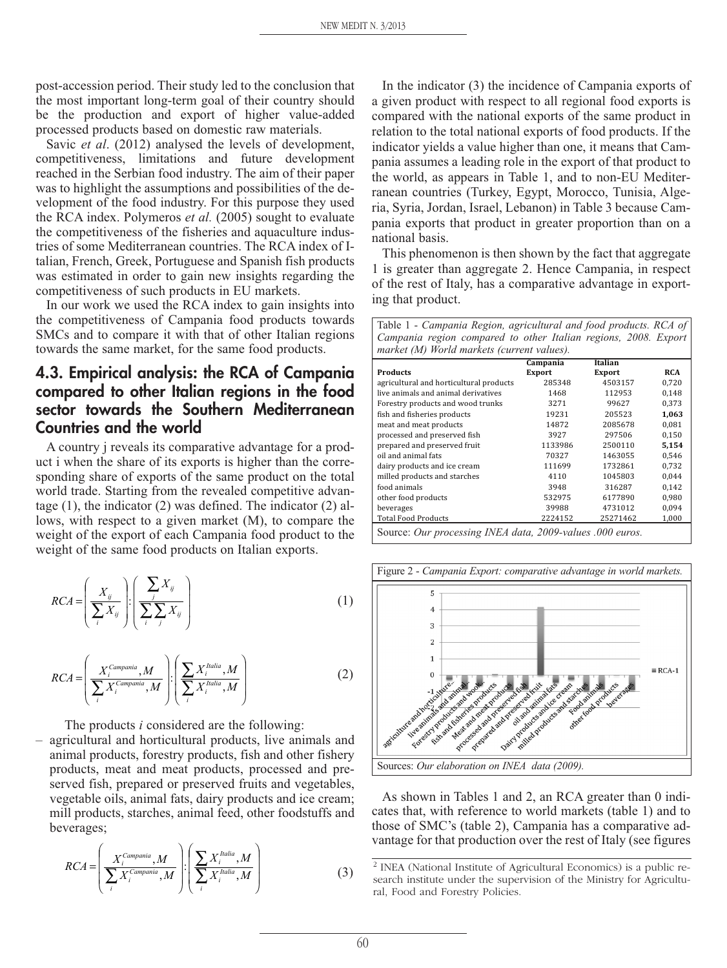post-accession period. Their study led to the conclusion that the most important long-term goal of their country should be the production and export of higher value-added processed products based on domestic raw materials.

Savic *et al.* (2012) analysed the levels of development, competitiveness, limitations and future development reached in the Serbian food industry. The aim of their paper was to highlight the assumptions and possibilities of the development of the food industry. For this purpose they used the RCA index. Polymeros *et al.* (2005) sought to evaluate the competitiveness of the fisheries and aquaculture industries of some Mediterranean countries. The RCA index of Italian, French, Greek, Portuguese and Spanish fish products was estimated in order to gain new insights regarding the competitiveness of such products in EU markets.

In our work we used the RCA index to gain insights into the competitiveness of Campania food products towards SMCs and to compare it with that of other Italian regions towards the same market, for the same food products.

### **4.3. Empirical analysis: the RCA of Campania compared to other Italian regions in the food sector towards the Southern Mediterranean Countries and the world**

A country j reveals its comparative advantage for a product i when the share of its exports is higher than the corresponding share of exports of the same product on the total world trade. Starting from the revealed competitive advantage (1), the indicator (2) was defined. The indicator (2) allows, with respect to a given market (M), to compare the weight of the export of each Campania food product to the weight of the same food products on Italian exports.

$$
RCA = \left(\frac{X_{ij}}{\sum_{i} X_{ij}}\right) : \left(\frac{\sum_{j} X_{ij}}{\sum_{i} \sum_{j} X_{ij}}\right) \tag{1}
$$

$$
RCA = \left(\frac{X_i^{Campania}, M}{\sum_{i} X_i^{Campania}, M}\right) \cdot \left(\frac{\sum_{i} X_i^{Italia}, M}{\sum_{i} X_i^{Italia}, M}\right) \tag{2}
$$

The products *i* considered are the following:

– agricultural and horticultural products, live animals and animal products, forestry products, fish and other fishery products, meat and meat products, processed and preserved fish, prepared or preserved fruits and vegetables, vegetable oils, animal fats, dairy products and ice cream; mill products, starches, animal feed, other foodstuffs and beverages;

$$
RCA = \left(\frac{X_i^{Campania}, M}{\sum_i X_i^{Campania}, M}\right) \cdot \left(\frac{\sum_i X_i^{Italia}, M}{\sum_i X_i^{Italia}, M}\right)
$$
(3)

In the indicator (3) the incidence of Campania exports of a given product with respect to all regional food exports is compared with the national exports of the same product in relation to the total national exports of food products. If the indicator yields a value higher than one, it means that Campania assumes a leading role in the export of that product to the world, as appears in Table 1, and to non-EU Mediterranean countries (Turkey, Egypt, Morocco, Tunisia, Algeria, Syria, Jordan, Israel, Lebanon) in Table 3 because Campania exports that product in greater proportion than on a national basis.

This phenomenon is then shown by the fact that aggregate 1 is greater than aggregate 2. Hence Campania, in respect of the rest of Italy, has a comparative advantage in exporting that product.

Table 1 - *Campania Region, agricultural and food products. RCA of Campania region compared to other Italian regions, 2008. Export market (M) World markets (current values).*

|                                         | Campania      | <b>Italian</b> |            |
|-----------------------------------------|---------------|----------------|------------|
| <b>Products</b>                         | <b>Export</b> | <b>Export</b>  | <b>RCA</b> |
| agricultural and horticultural products | 285348        | 4503157        | 0.720      |
| live animals and animal derivatives     | 1468          | 112953         | 0,148      |
| Forestry products and wood trunks       | 3271          | 99627          | 0.373      |
| fish and fisheries products             | 19231         | 205523         | 1.063      |
| meat and meat products                  | 14872         | 2085678        | 0.081      |
| processed and preserved fish            | 3927          | 297506         | 0,150      |
| prepared and preserved fruit            | 1133986       | 2500110        | 5,154      |
| oil and animal fats                     | 70327         | 1463055        | 0.546      |
| dairy products and ice cream            | 111699        | 1732861        | 0.732      |
| milled products and starches            | 4110          | 1045803        | 0.044      |
| food animals                            | 3948          | 316287         | 0.142      |
| other food products                     | 532975        | 6177890        | 0,980      |
| beverages                               | 39988         | 4731012        | 0.094      |
| <b>Total Food Products</b>              | 2224152       | 25271462       | 1.000      |
|                                         |               |                |            |

Source: *Our processing INEA data, 2009-values .000 euros.*



As shown in Tables 1 and 2, an RCA greater than 0 indicates that, with reference to world markets (table 1) and to those of SMC's (table 2), Campania has a comparative advantage for that production over the rest of Italy (see figures

<sup>2</sup> INEA (National Institute of Agricultural Economics) is a public research institute under the supervision of the Ministry for Agricultural, Food and Forestry Policies.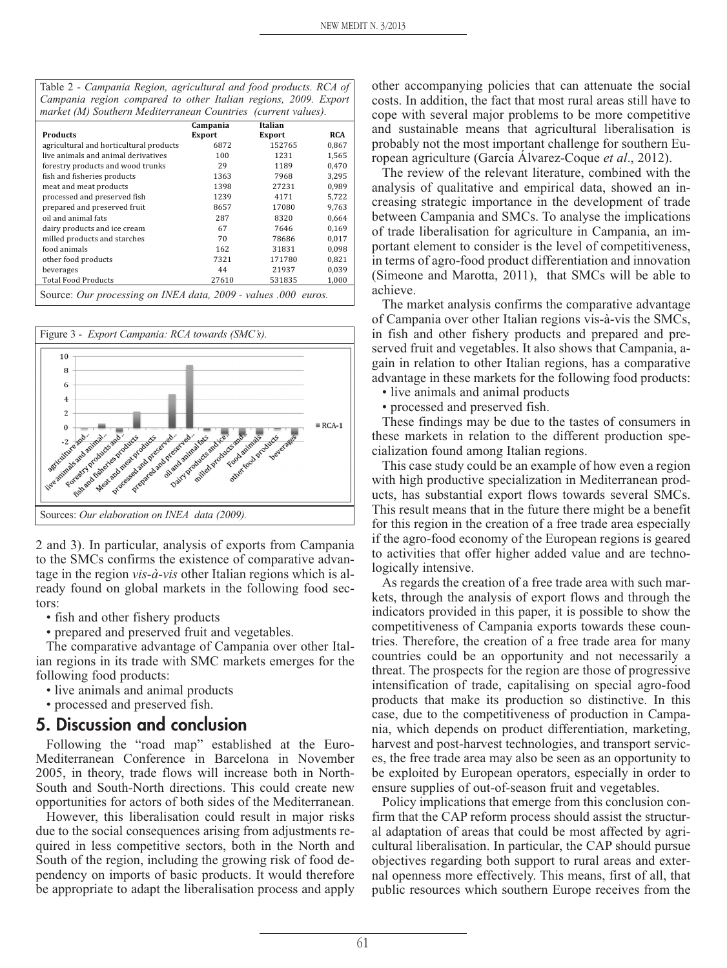| Table 2 - Campania Region, agricultural and food products. RCA of |  |
|-------------------------------------------------------------------|--|
| Campania region compared to other Italian regions, 2009. Export   |  |
| market (M) Southern Mediterranean Countries (current values).     |  |

|                                                                | Campania | Italian       |       |  |  |
|----------------------------------------------------------------|----------|---------------|-------|--|--|
| <b>Products</b>                                                | Export   | <b>Export</b> | RCA   |  |  |
| agricultural and horticultural products                        | 6872     | 152765        | 0,867 |  |  |
| live animals and animal derivatives                            | 100      | 1231          | 1,565 |  |  |
| forestry products and wood trunks                              | 29       | 1189          | 0.470 |  |  |
| fish and fisheries products                                    | 1363     | 7968          | 3.295 |  |  |
| meat and meat products                                         | 1398     | 27231         | 0,989 |  |  |
| processed and preserved fish                                   | 1239     | 4171          | 5,722 |  |  |
| prepared and preserved fruit                                   | 8657     | 17080         | 9.763 |  |  |
| oil and animal fats                                            | 287      | 8320          | 0,664 |  |  |
| dairy products and ice cream                                   | 67       | 7646          | 0,169 |  |  |
| milled products and starches                                   | 70       | 78686         | 0,017 |  |  |
| food animals                                                   | 162      | 31831         | 0,098 |  |  |
| other food products                                            | 7321     | 171780        | 0,821 |  |  |
| beverages                                                      | 44       | 21937         | 0,039 |  |  |
| <b>Total Food Products</b>                                     | 27610    | 531835        | 1,000 |  |  |
| Source: Our processing on INEA data, 2009 - values .000 euros. |          |               |       |  |  |



2 and 3). In particular, analysis of exports from Campania to the SMCs confirms the existence of comparative advantage in the region *vis-à-vis* other Italian regions which is already found on global markets in the following food sectors:

- fish and other fishery products
- prepared and preserved fruit and vegetables.

The comparative advantage of Campania over other Italian regions in its trade with SMC markets emerges for the following food products:

- live animals and animal products
- processed and preserved fish.

#### **5. Discussion and conclusion**

Following the "road map" established at the Euro-Mediterranean Conference in Barcelona in November 2005, in theory, trade flows will increase both in North-South and South-North directions. This could create new opportunities for actors of both sides of the Mediterranean.

However, this liberalisation could result in major risks due to the social consequences arising from adjustments required in less competitive sectors, both in the North and South of the region, including the growing risk of food dependency on imports of basic products. It would therefore be appropriate to adapt the liberalisation process and apply other accompanying policies that can attenuate the social costs. In addition, the fact that most rural areas still have to cope with several major problems to be more competitive and sustainable means that agricultural liberalisation is probably not the most important challenge for southern European agriculture (García Álvarez-Coque *et al*., 2012).

The review of the relevant literature, combined with the analysis of qualitative and empirical data, showed an increasing strategic importance in the development of trade between Campania and SMCs. To analyse the implications of trade liberalisation for agriculture in Campania, an important element to consider is the level of competitiveness, in terms of agro-food product differentiation and innovation (Simeone and Marotta, 2011), that SMCs will be able to achieve.

The market analysis confirms the comparative advantage of Campania over other Italian regions vis-à-vis the SMCs, in fish and other fishery products and prepared and preserved fruit and vegetables. It also shows that Campania, again in relation to other Italian regions, has a comparative advantage in these markets for the following food products:

• live animals and animal products

• processed and preserved fish.

These findings may be due to the tastes of consumers in these markets in relation to the different production specialization found among Italian regions.

This case study could be an example of how even a region with high productive specialization in Mediterranean products, has substantial export flows towards several SMCs. This result means that in the future there might be a benefit for this region in the creation of a free trade area especially if the agro-food economy of the European regions is geared to activities that offer higher added value and are technologically intensive.

As regards the creation of a free trade area with such markets, through the analysis of export flows and through the indicators provided in this paper, it is possible to show the competitiveness of Campania exports towards these countries. Therefore, the creation of a free trade area for many countries could be an opportunity and not necessarily a threat. The prospects for the region are those of progressive intensification of trade, capitalising on special agro-food products that make its production so distinctive. In this case, due to the competitiveness of production in Campania, which depends on product differentiation, marketing, harvest and post-harvest technologies, and transport services, the free trade area may also be seen as an opportunity to be exploited by European operators, especially in order to ensure supplies of out-of-season fruit and vegetables.

Policy implications that emerge from this conclusion confirm that the CAP reform process should assist the structural adaptation of areas that could be most affected by agricultural liberalisation. In particular, the CAP should pursue objectives regarding both support to rural areas and external openness more effectively. This means, first of all, that public resources which southern Europe receives from the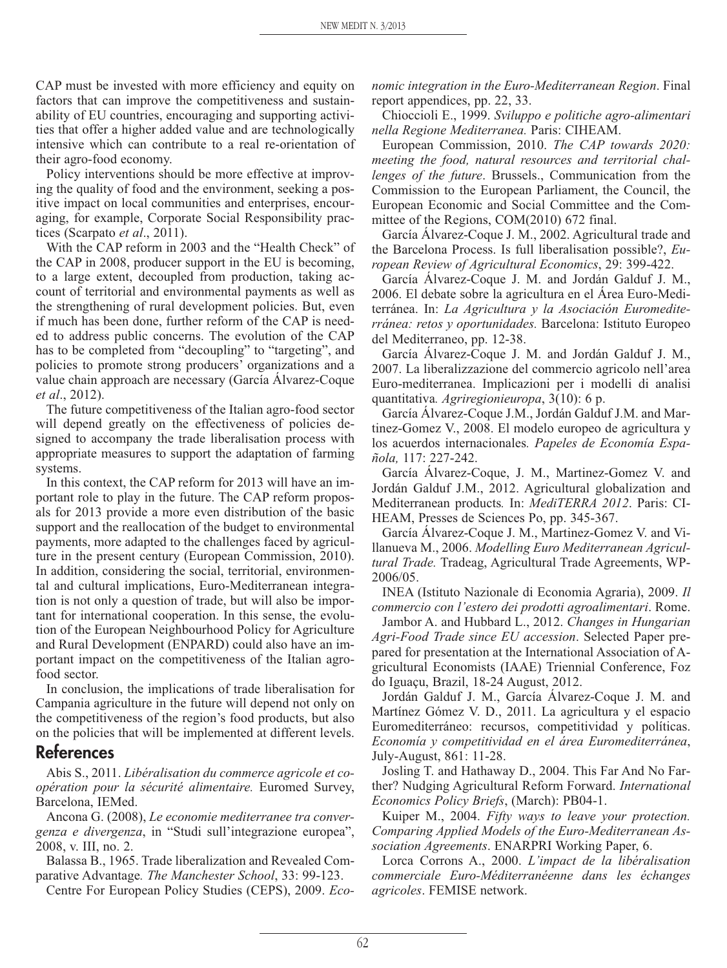CAP must be invested with more efficiency and equity on factors that can improve the competitiveness and sustainability of EU countries, encouraging and supporting activities that offer a higher added value and are technologically intensive which can contribute to a real re-orientation of their agro-food economy.

Policy interventions should be more effective at improving the quality of food and the environment, seeking a positive impact on local communities and enterprises, encouraging, for example, Corporate Social Responsibility practices (Scarpato *et al*., 2011).

With the CAP reform in 2003 and the "Health Check" of the CAP in 2008, producer support in the EU is becoming, to a large extent, decoupled from production, taking account of territorial and environmental payments as well as the strengthening of rural development policies. But, even if much has been done, further reform of the CAP is needed to address public concerns. The evolution of the CAP has to be completed from "decoupling" to "targeting", and policies to promote strong producers' organizations and a value chain approach are necessary (García Álvarez-Coque *et al*., 2012).

The future competitiveness of the Italian agro-food sector will depend greatly on the effectiveness of policies designed to accompany the trade liberalisation process with appropriate measures to support the adaptation of farming systems.

In this context, the CAP reform for 2013 will have an important role to play in the future. The CAP reform proposals for 2013 provide a more even distribution of the basic support and the reallocation of the budget to environmental payments, more adapted to the challenges faced by agriculture in the present century (European Commission, 2010). In addition, considering the social, territorial, environmental and cultural implications, Euro-Mediterranean integration is not only a question of trade, but will also be important for international cooperation. In this sense, the evolution of the European Neighbourhood Policy for Agriculture and Rural Development (ENPARD) could also have an important impact on the competitiveness of the Italian agrofood sector.

In conclusion, the implications of trade liberalisation for Campania agriculture in the future will depend not only on the competitiveness of the region's food products, but also on the policies that will be implemented at different levels.

#### **References**

Abis S., 2011. *Libéralisation du commerce agricole et coopération pour la sécurité alimentaire.* Euromed Survey, Barcelona, IEMed.

Ancona G. (2008), *Le economie mediterranee tra convergenza e divergenza*, in "Studi sull'integrazione europea", 2008, v. III, no. 2.

Balassa B., 1965. Trade liberalization and Revealed Comparative Advantage*. The Manchester School*, 33: 99-123.

Centre For European Policy Studies (CEPS), 2009. *Eco-*

*nomic integration in the Euro-Mediterranean Region*. Final report appendices, pp. 22, 33.

Chioccioli E., 1999. *Sviluppo e politiche agro-alimentari nella Regione Mediterranea.* Paris: CIHEAM.

European Commission, 2010. *The CAP towards 2020: meeting the food, natural resources and territorial challenges of the future*. Brussels., Communication from the Commission to the European Parliament, the Council, the European Economic and Social Committee and the Committee of the Regions, COM(2010) 672 final.

García Álvarez-Coque J. M., 2002. Agricultural trade and the Barcelona Process. Is full liberalisation possible?, *European Review of Agricultural Economics*, 29: 399-422.

García Álvarez-Coque J. M. and Jordán Galduf J. M., 2006. El debate sobre la agricultura en el Área Euro-Mediterránea. In: *La Agricultura y la Asociación Euromediterránea: retos y oportunidades.* Barcelona: Istituto Europeo del Mediterraneo, pp. 12-38.

García Álvarez-Coque J. M. and Jordán Galduf J. M., 2007. La liberalizzazione del commercio agricolo nell'area Euro-mediterranea. Implicazioni per i modelli di analisi quantitativa*. Agriregionieuropa*, 3(10): 6 p.

García Álvarez-Coque J.M., Jordán Galduf J.M. and Martinez-Gomez V., 2008. El modelo europeo de agricultura y los acuerdos internacionales*. Papeles de Economía Española,* 117: 227-242.

García Álvarez-Coque, J. M., Martinez-Gomez V. and Jordán Galduf J.M., 2012. Agricultural globalization and Mediterranean products*.* In: *MediTERRA 2012*. Paris: CI-HEAM, Presses de Sciences Po, pp. 345-367.

García Álvarez-Coque J. M., Martinez-Gomez V. and Villanueva M., 2006. *Modelling Euro Mediterranean Agricultural Trade.* Tradeag, Agricultural Trade Agreements, WP-2006/05.

INEA (Istituto Nazionale di Economia Agraria), 2009. *Il commercio con l'estero dei prodotti agroalimentari*. Rome.

Jambor A. and Hubbard L., 2012. *Changes in Hungarian Agri-Food Trade since EU accession*. Selected Paper prepared for presentation at the International Association of Agricultural Economists (IAAE) Triennial Conference, Foz do Iguaçu, Brazil, 18-24 August, 2012.

Jordán Galduf J. M., García Álvarez-Coque J. M. and Martínez Gómez V. D., 2011. La agricultura y el espacio Euromediterráneo: recursos, competitividad y políticas. *Economía y competitividad en el área Euromediterránea*, July-August, 861: 11-28.

Josling T. and Hathaway D., 2004. This Far And No Farther? Nudging Agricultural Reform Forward. *International Economics Policy Briefs*, (March): PB04-1.

Kuiper M., 2004. *Fifty ways to leave your protection. Comparing Applied Models of the Euro-Mediterranean Association Agreements*. ENARPRI Working Paper, 6.

Lorca Corrons A., 2000. *L'impact de la libéralisation commerciale Euro-Méditerranéenne dans les échanges agricoles*. FEMISE network.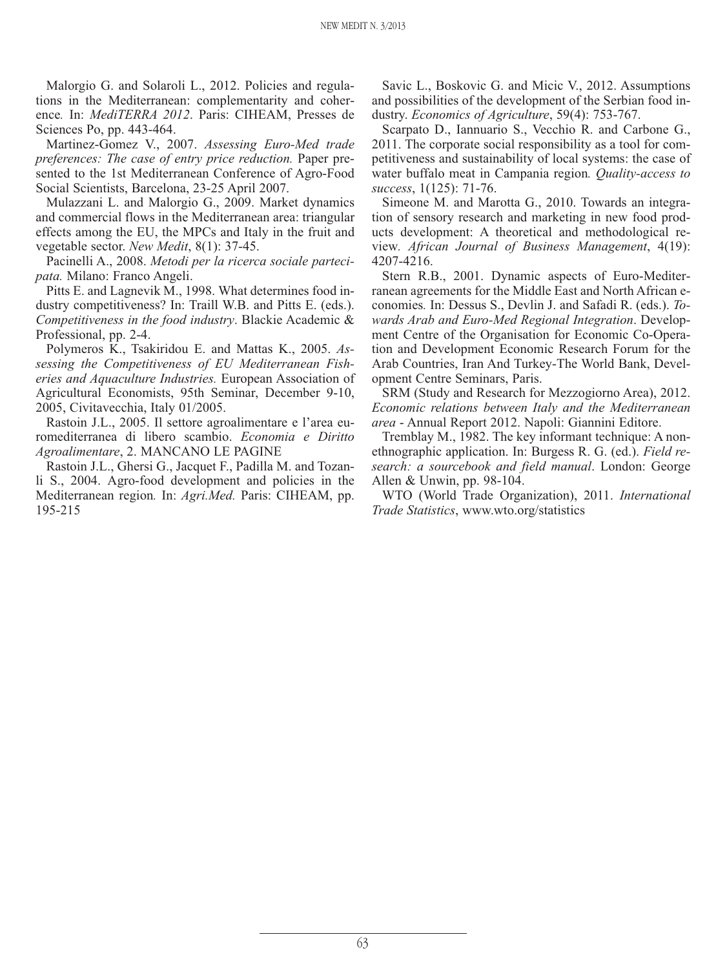Malorgio G. and Solaroli L., 2012. Policies and regulations in the Mediterranean: complementarity and coherence*.* In: *MediTERRA 2012*. Paris: CIHEAM, Presses de Sciences Po, pp. 443-464.

Martinez-Gomez V., 2007. *Assessing Euro-Med trade preferences: The case of entry price reduction.* Paper presented to the 1st Mediterranean Conference of Agro-Food Social Scientists, Barcelona, 23-25 April 2007.

Mulazzani L. and Malorgio G., 2009. Market dynamics and commercial flows in the Mediterranean area: triangular effects among the EU, the MPCs and Italy in the fruit and vegetable sector. *New Medit*, 8(1): 37-45.

Pacinelli A., 2008. *Metodi per la ricerca sociale partecipata.* Milano: Franco Angeli.

Pitts E. and Lagnevik M., 1998. What determines food industry competitiveness? In: Traill W.B. and Pitts E. (eds.). *Competitiveness in the food industry*. Blackie Academic & Professional, pp. 2-4.

Polymeros K., Tsakiridou E. and Mattas K., 2005. *Assessing the Competitiveness of EU Mediterranean Fisheries and Aquaculture Industries.* European Association of Agricultural Economists, 95th Seminar, December 9-10, 2005, Civitavecchia, Italy 01/2005.

Rastoin J.L., 2005. Il settore agroalimentare e l'area euromediterranea di libero scambio. *Economia e Diritto Agroalimentare*, 2. MANCANO LE PAGINE

Rastoin J.L., Ghersi G., Jacquet F., Padilla M. and Tozanli S., 2004. Agro-food development and policies in the Mediterranean region*.* In: *Agri.Med.* Paris: CIHEAM, pp. 195-215

Savic L., Boskovic G. and Micic V., 2012. Assumptions and possibilities of the development of the Serbian food industry. *Economics of Agriculture*, 59(4): 753-767.

Scarpato D., Iannuario S., Vecchio R. and Carbone G., 2011. The corporate social responsibility as a tool for competitiveness and sustainability of local systems: the case of water buffalo meat in Campania region*. Quality-access to success*, 1(125): 71-76.

Simeone M. and Marotta G., 2010. Towards an integration of sensory research and marketing in new food products development: A theoretical and methodological review*. African Journal of Business Management*, 4(19): 4207-4216.

Stern R.B., 2001. Dynamic aspects of Euro-Mediterranean agreements for the Middle East and North African economies*.* In: Dessus S., Devlin J. and Safadi R. (eds.). *Towards Arab and Euro-Med Regional Integration*. Development Centre of the Organisation for Economic Co-Operation and Development Economic Research Forum for the Arab Countries, Iran And Turkey-The World Bank, Development Centre Seminars, Paris.

SRM (Study and Research for Mezzogiorno Area), 2012. *Economic relations between Italy and the Mediterranean area* - Annual Report 2012. Napoli: Giannini Editore.

Tremblay M., 1982. The key informant technique: A nonethnographic application. In: Burgess R. G. (ed.). *Field research: a sourcebook and field manual*. London: George Allen & Unwin, pp. 98-104.

WTO (World Trade Organization), 2011. *International Trade Statistics*, www.wto.org/statistics